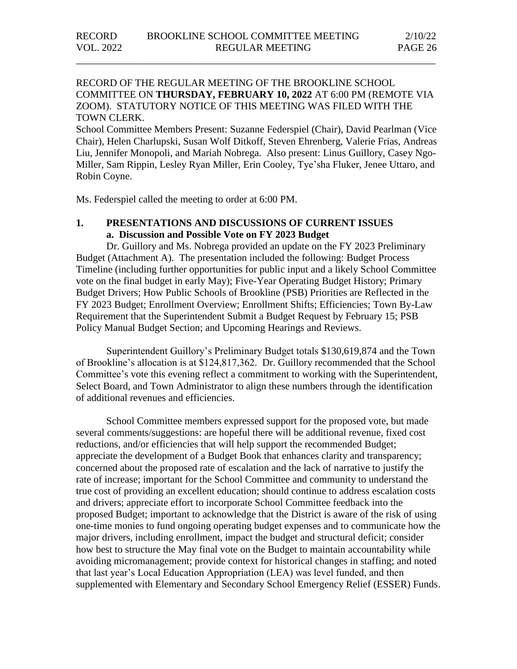### RECORD OF THE REGULAR MEETING OF THE BROOKLINE SCHOOL COMMITTEE ON **THURSDAY, FEBRUARY 10, 2022** AT 6:00 PM (REMOTE VIA ZOOM). STATUTORY NOTICE OF THIS MEETING WAS FILED WITH THE TOWN CLERK.

\_\_\_\_\_\_\_\_\_\_\_\_\_\_\_\_\_\_\_\_\_\_\_\_\_\_\_\_\_\_\_\_\_\_\_\_\_\_\_\_\_\_\_\_\_\_\_\_\_\_\_\_\_\_\_\_\_\_\_\_\_\_\_\_\_\_\_\_\_\_\_

School Committee Members Present: Suzanne Federspiel (Chair), David Pearlman (Vice Chair), Helen Charlupski, Susan Wolf Ditkoff, Steven Ehrenberg, Valerie Frias, Andreas Liu, Jennifer Monopoli, and Mariah Nobrega. Also present: Linus Guillory, Casey Ngo-Miller, Sam Rippin, Lesley Ryan Miller, Erin Cooley, Tye'sha Fluker, Jenee Uttaro, and Robin Coyne.

Ms. Federspiel called the meeting to order at 6:00 PM.

### **1. PRESENTATIONS AND DISCUSSIONS OF CURRENT ISSUES a. Discussion and Possible Vote on FY 2023 Budget**

Dr. Guillory and Ms. Nobrega provided an update on the FY 2023 Preliminary Budget (Attachment A). The presentation included the following: Budget Process Timeline (including further opportunities for public input and a likely School Committee vote on the final budget in early May); Five-Year Operating Budget History; Primary Budget Drivers; How Public Schools of Brookline (PSB) Priorities are Reflected in the FY 2023 Budget; Enrollment Overview; Enrollment Shifts; Efficiencies; Town By-Law Requirement that the Superintendent Submit a Budget Request by February 15; PSB Policy Manual Budget Section; and Upcoming Hearings and Reviews.

Superintendent Guillory's Preliminary Budget totals \$130,619,874 and the Town of Brookline's allocation is at \$124,817,362. Dr. Guillory recommended that the School Committee's vote this evening reflect a commitment to working with the Superintendent, Select Board, and Town Administrator to align these numbers through the identification of additional revenues and efficiencies.

School Committee members expressed support for the proposed vote, but made several comments/suggestions: are hopeful there will be additional revenue, fixed cost reductions, and/or efficiencies that will help support the recommended Budget; appreciate the development of a Budget Book that enhances clarity and transparency; concerned about the proposed rate of escalation and the lack of narrative to justify the rate of increase; important for the School Committee and community to understand the true cost of providing an excellent education; should continue to address escalation costs and drivers; appreciate effort to incorporate School Committee feedback into the proposed Budget; important to acknowledge that the District is aware of the risk of using one-time monies to fund ongoing operating budget expenses and to communicate how the major drivers, including enrollment, impact the budget and structural deficit; consider how best to structure the May final vote on the Budget to maintain accountability while avoiding micromanagement; provide context for historical changes in staffing; and noted that last year's Local Education Appropriation (LEA) was level funded, and then supplemented with Elementary and Secondary School Emergency Relief (ESSER) Funds.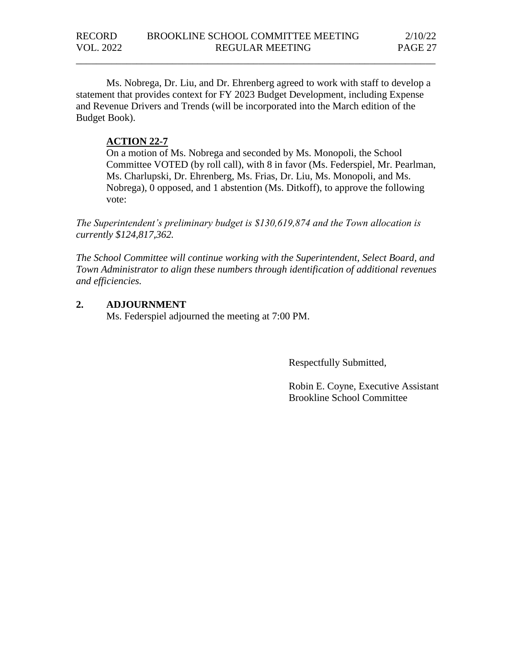Ms. Nobrega, Dr. Liu, and Dr. Ehrenberg agreed to work with staff to develop a statement that provides context for FY 2023 Budget Development, including Expense and Revenue Drivers and Trends (will be incorporated into the March edition of the Budget Book).

\_\_\_\_\_\_\_\_\_\_\_\_\_\_\_\_\_\_\_\_\_\_\_\_\_\_\_\_\_\_\_\_\_\_\_\_\_\_\_\_\_\_\_\_\_\_\_\_\_\_\_\_\_\_\_\_\_\_\_\_\_\_\_\_\_\_\_\_\_\_\_

### **ACTION 22-7**

On a motion of Ms. Nobrega and seconded by Ms. Monopoli, the School Committee VOTED (by roll call), with 8 in favor (Ms. Federspiel, Mr. Pearlman, Ms. Charlupski, Dr. Ehrenberg, Ms. Frias, Dr. Liu, Ms. Monopoli, and Ms. Nobrega), 0 opposed, and 1 abstention (Ms. Ditkoff), to approve the following vote:

*The Superintendent's preliminary budget is \$130,619,874 and the Town allocation is currently \$124,817,362.*

*The School Committee will continue working with the Superintendent, Select Board, and Town Administrator to align these numbers through identification of additional revenues and efficiencies.* 

### **2. ADJOURNMENT**

Ms. Federspiel adjourned the meeting at 7:00 PM.

Respectfully Submitted,

Robin E. Coyne, Executive Assistant Brookline School Committee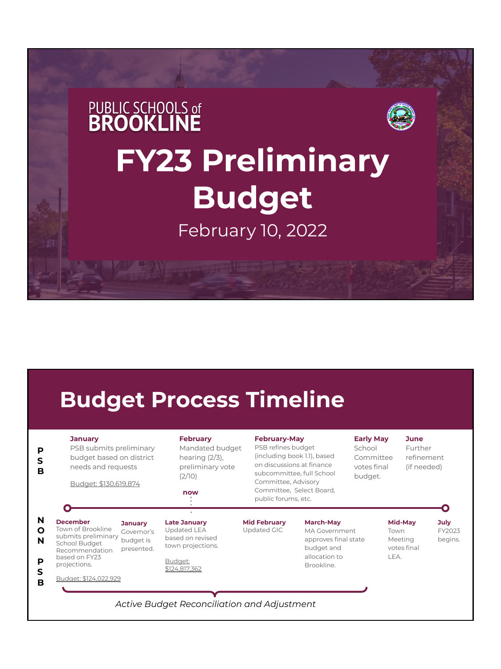# **PUBLIC SCHOOLS of BROOKLINE FY23 Preliminary Budget**  February 10, 2022

### **Budget Process Timeline**

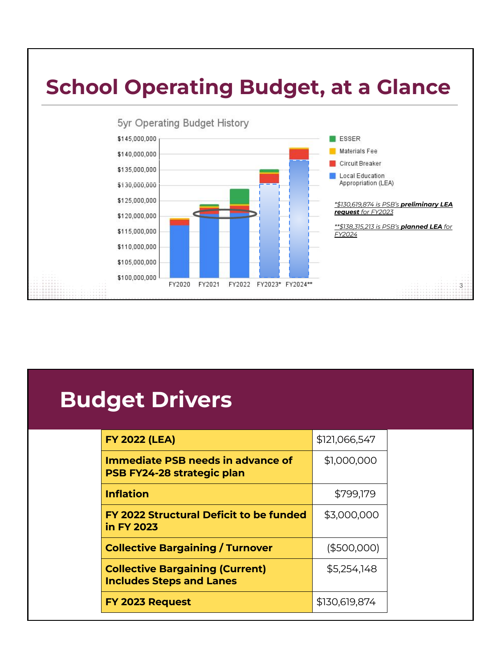

## **Budget Drivers**

| <b>FY 2022 (LEA)</b>                                                      | \$121,066,547 |  |
|---------------------------------------------------------------------------|---------------|--|
| <b>Immediate PSB needs in advance of</b><br>PSB FY24-28 strategic plan    | \$1,000,000   |  |
| <b>Inflation</b>                                                          | \$799,179     |  |
| FY 2022 Structural Deficit to be funded<br>in FY 2023                     | \$3,000,000   |  |
| <b>Collective Bargaining / Turnover</b>                                   | (\$500,000)   |  |
| <b>Collective Bargaining (Current)</b><br><b>Includes Steps and Lanes</b> | \$5,254,148   |  |
| FY 2023 Request                                                           | \$130,619,874 |  |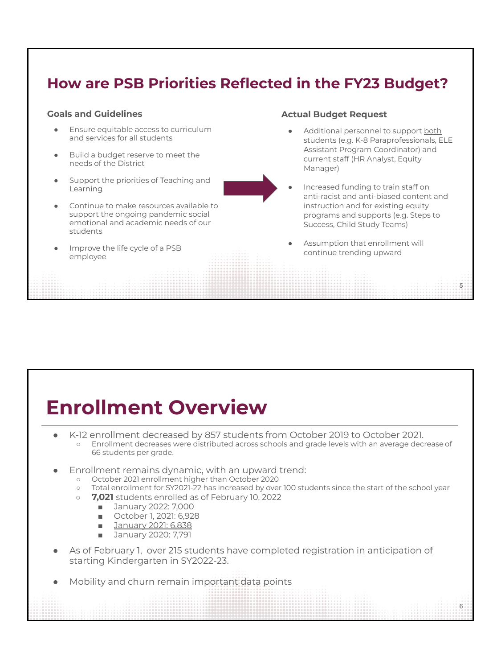### **How are PSB Priorities Reflected in the FY23 Budget?**

#### **Goals and Guidelines**

- Ensure equitable access to curriculum and services for all students
- Build a budget reserve to meet the needs of the District
- Support the priorities of Teaching and Learning



- Continue to make resources available to support the ongoing pandemic social emotional and academic needs of our students
- Improve the life cycle of a PSB employee

#### **Actual Budget Request**

- Additional personnel to support both students (e.g. K-8 Paraprofessionals, ELE Assistant Program Coordinator) and current staff (HR Analyst, Equity Manager)
- Increased funding to train staff on anti-racist and anti-biased content and instruction and for existing equity programs and supports (e.g. Steps to Success, Child Study Teams)

5

 $\overline{6}$ 

Assumption that enrollment will continue trending upward

### **Enrollment Overview**

- K-12 enrollment decreased by 857 students from October 2019 to October 2021. ○ Enrollment decreases were distributed across schools and grade levels with an average decrease of 66 students per grade.
- Enrollment remains dynamic, with an upward trend:
	- October 2021 enrollment higher than October 2020
	- Total enrollment for SY2021-22 has increased by over 100 students since the start of the school year
	- **7,021** students enrolled as of February 10, 2022
		- January 2022: 7,000
		- October 1, 2021: 6,928
		- January 2021: 6,838
		- January 2020: 7,791
- As of February 1, over 215 students have completed registration in anticipation of starting Kindergarten in SY2022-23.
- Mobility and churn remain important data points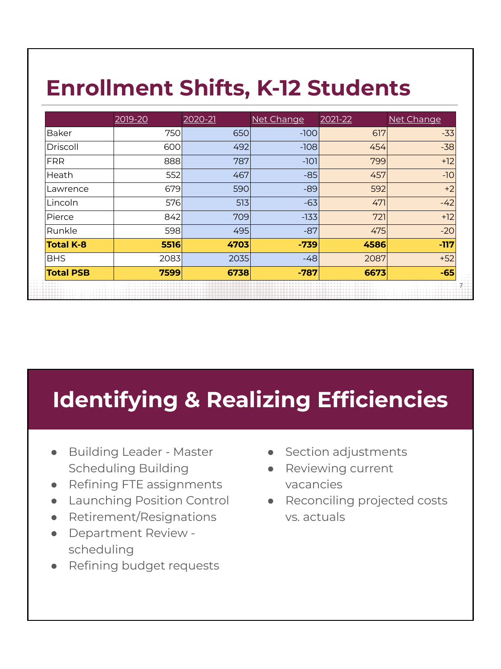## **Enrollment Shifts, K-12 Students**

|                  | 2019-20 | 2020-21 | Net Change | 2021-22 | Net Change |
|------------------|---------|---------|------------|---------|------------|
| Baker            | 750     | 650     | $-100$     | 617     | $-33$      |
| Driscoll         | 600     | 492     | $-108$     | 454     | $-38$      |
| <b>FRR</b>       | 888     | 787     | $-101$     | 799     | $+12$      |
| Heath            | 552     | 467     | $-85$      | 457     | $-10$      |
| Lawrence         | 679     | 590     | $-89$      | 592     | $+2$       |
| Lincoln          | 576     | 513     | $-63$      | 471     | $-42$      |
| Pierce           | 842     | 709     | $-133$     | 721     | $+12$      |
| Runkle           | 598     | 495     | $-87$      | 475     | $-20$      |
| <b>Total K-8</b> | 5516    | 4703    | $-739$     | 4586    | $-117$     |
| <b>BHS</b>       | 2083    | 2035    | $-48$      | 2087    | $+52$      |
| <b>Total PSB</b> | 7599    | 6738    | $-787$     | 6673    | $-65$      |

## **Identifying & Realizing Efficiencies**

- Building Leader Master Scheduling Building
- Refining FTE assignments
- Launching Position Control
- Retirement/Resignations
- Department Review scheduling
- Refining budget requests
- Section adjustments
	- Reviewing current vacancies
	- Reconciling projected costs vs. actuals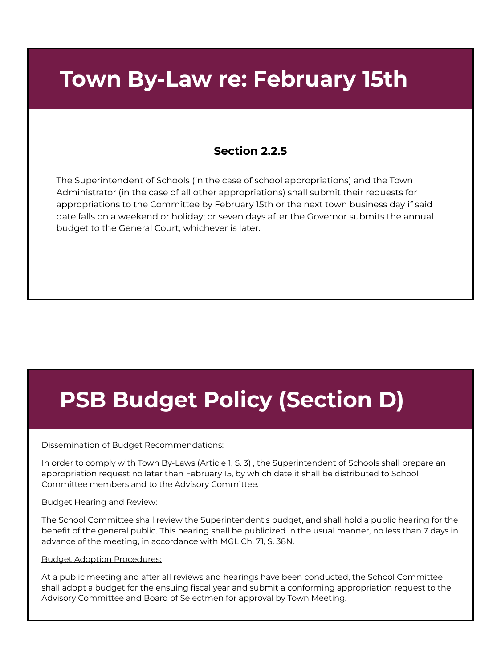### **Town By-Law re: February 15th**

### **Section 2.2.5**

The Superintendent of Schools (in the case of school appropriations) and the Town Administrator (in the case of all other appropriations) shall submit their requests for appropriations to the Committee by February 15th or the next town business day if said date falls on a weekend or holiday; or seven days after the Governor submits the annual budget to the General Court, whichever is later.

## **PSB Budget Policy (Section D)**

#### Dissemination of Budget Recommendations:

In order to comply with Town By-Laws (Article 1, S. 3) , the Superintendent of Schools shall prepare an appropriation request no later than February 15, by which date it shall be distributed to School Committee members and to the Advisory Committee.

#### Budget Hearing and Review:

The School Committee shall review the Superintendent's budget, and shall hold a public hearing for the benefit of the general public. This hearing shall be publicized in the usual manner, no less than 7 days in advance of the meeting, in accordance with MGL Ch. 71, S. 38N.

#### Budget Adoption Procedures:

At a public meeting and after all reviews and hearings have been conducted, the School Committee shall adopt a budget for the ensuing fiscal year and submit a conforming appropriation request to the Advisory Committee and Board of Selectmen for approval by Town Meeting.